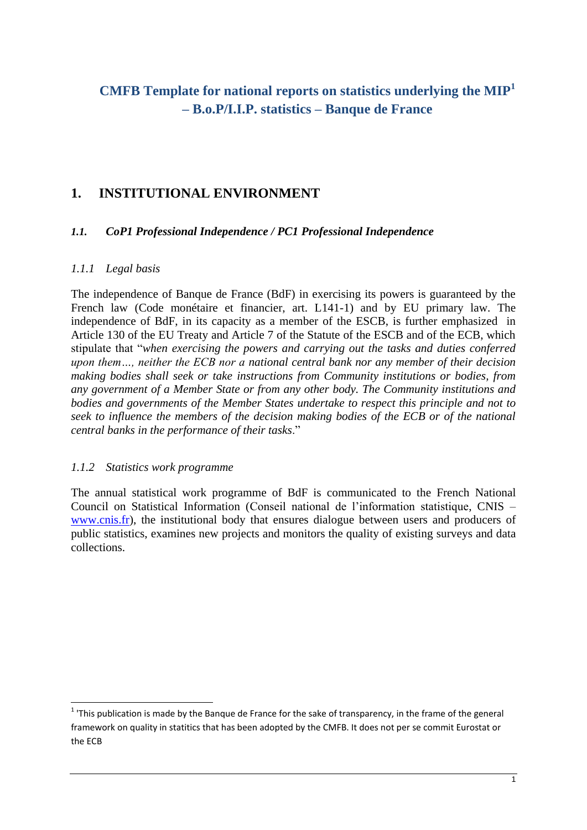# **CMFB Template for national reports on statistics underlying the MIP<sup>1</sup> – B.o.P/I.I.P. statistics – Banque de France**

## **1. INSTITUTIONAL ENVIRONMENT**

#### *1.1. CoP1 Professional Independence / PC1 Professional Independence*

#### *1.1.1 Legal basis*

The independence of Banque de France (BdF) in exercising its powers is guaranteed by the French law (Code monétaire et financier, art. L141-1) and by EU primary law. The independence of BdF, in its capacity as a member of the ESCB, is further emphasized in Article 130 of the EU Treaty and Article 7 of the Statute of the ESCB and of the ECB, which stipulate that "*when exercising the powers and carrying out the tasks and duties conferred upon them…, neither the ECB nor a national central bank nor any member of their decision making bodies shall seek or take instructions from Community institutions or bodies, from any government of a Member State or from any other body. The Community institutions and bodies and governments of the Member States undertake to respect this principle and not to seek to influence the members of the decision making bodies of the ECB or of the national central banks in the performance of their tasks*."

#### *1.1.2 Statistics work programme*

The annual statistical work programme of BdF is communicated to the French National Council on Statistical Information (Conseil national de l'information statistique, CNIS – [www.cnis.fr\)](http://www.cnis.fr/), the institutional body that ensures dialogue between users and producers of public statistics, examines new projects and monitors the quality of existing surveys and data collections.

 1 'This publication is made by the Banque de France for the sake of transparency, in the frame of the general framework on quality in statitics that has been adopted by the CMFB. It does not per se commit Eurostat or the ECB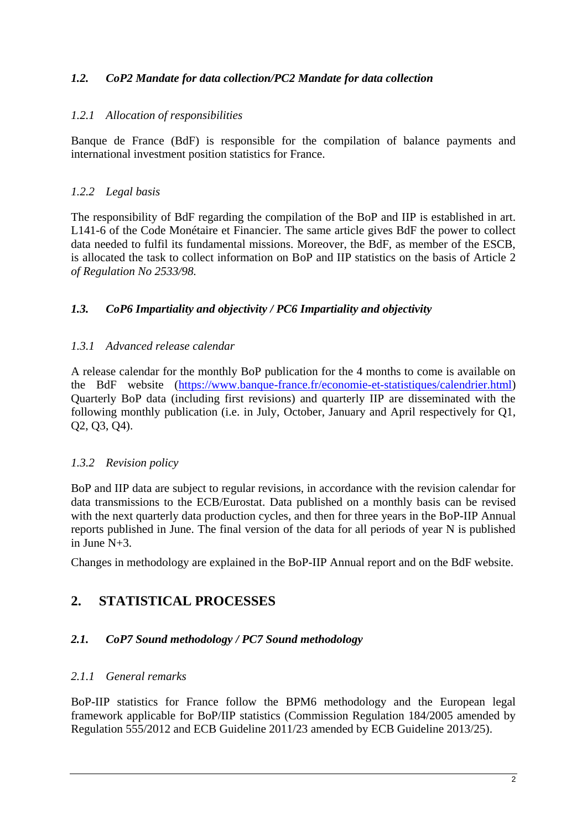### *1.2. CoP2 Mandate for data collection/PC2 Mandate for data collection*

#### *1.2.1 Allocation of responsibilities*

Banque de France (BdF) is responsible for the compilation of balance payments and international investment position statistics for France.

#### *1.2.2 Legal basis*

The responsibility of BdF regarding the compilation of the BoP and IIP is established in art. L141-6 of the Code Monétaire et Financier. The same article gives BdF the power to collect data needed to fulfil its fundamental missions. Moreover, the BdF, as member of the ESCB, is allocated the task to collect information on BoP and IIP statistics on the basis of Article 2 *of Regulation No 2533/98.* 

#### *1.3. CoP6 Impartiality and objectivity / PC6 Impartiality and objectivity*

#### *1.3.1 Advanced release calendar*

A release calendar for the monthly BoP publication for the 4 months to come is available on the BdF website [\(https://www.banque-france.fr/economie-et-statistiques/calendrier.html\)](https://www.banque-france.fr/economie-et-statistiques/calendrier.html) Quarterly BoP data (including first revisions) and quarterly IIP are disseminated with the following monthly publication (i.e. in July, October, January and April respectively for Q1, Q2, Q3, Q4).

#### *1.3.2 Revision policy*

BoP and IIP data are subject to regular revisions, in accordance with the revision calendar for data transmissions to the ECB/Eurostat. Data published on a monthly basis can be revised with the next quarterly data production cycles, and then for three years in the BoP-IIP Annual reports published in June. The final version of the data for all periods of year N is published in June N+3.

Changes in methodology are explained in the BoP-IIP Annual report and on the BdF website.

## **2. STATISTICAL PROCESSES**

### *2.1. CoP7 Sound methodology / PC7 Sound methodology*

#### *2.1.1 General remarks*

BoP-IIP statistics for France follow the BPM6 methodology and the European legal framework applicable for BoP/IIP statistics (Commission Regulation 184/2005 amended by Regulation 555/2012 and ECB Guideline 2011/23 amended by ECB Guideline 2013/25).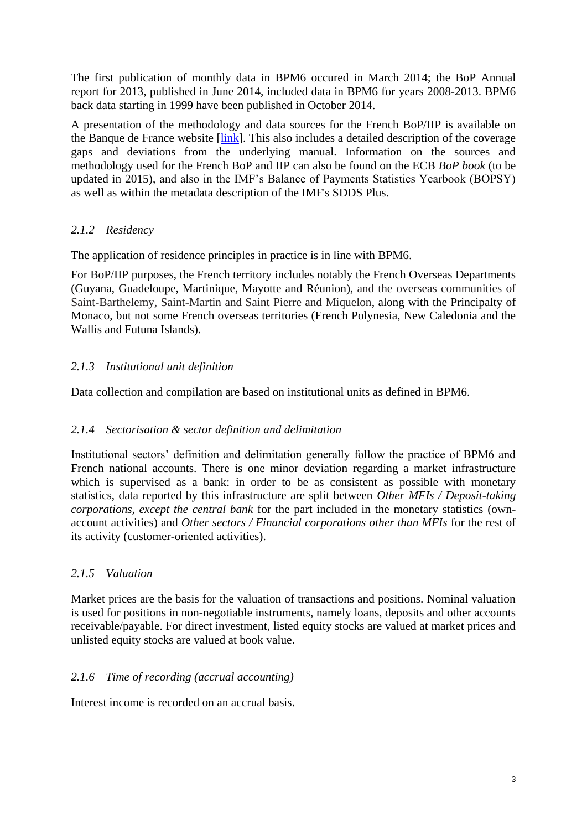The first publication of monthly data in BPM6 occured in March 2014; the BoP Annual report for 2013, published in June 2014, included data in BPM6 for years 2008-2013. BPM6 back data starting in 1999 have been published in October 2014.

A presentation of the methodology and data sources for the French BoP/IIP is available on the Banque de France website [\[link\]](https://www.banque-france.fr/en/economics-statistics/database/methodology/methodology-for-the-balance-of-payments-and-international-investment-position.html). This also includes a detailed description of the coverage gaps and deviations from the underlying manual. Information on the sources and methodology used for the French BoP and IIP can also be found on the ECB *BoP book* (to be updated in 2015), and also in the IMF's Balance of Payments Statistics Yearbook (BOPSY) as well as within the metadata description of the IMF's SDDS Plus.

### *2.1.2 Residency*

The application of residence principles in practice is in line with BPM6.

For BoP/IIP purposes, the French territory includes notably the French Overseas Departments (Guyana, Guadeloupe, Martinique, Mayotte and Réunion), and the overseas communities of Saint-Barthelemy, Saint-Martin and Saint Pierre and Miquelon, along with the Principalty of Monaco, but not some French overseas territories (French Polynesia, New Caledonia and the Wallis and Futuna Islands).

#### *2.1.3 Institutional unit definition*

Data collection and compilation are based on institutional units as defined in BPM6.

#### *2.1.4 Sectorisation & sector definition and delimitation*

Institutional sectors' definition and delimitation generally follow the practice of BPM6 and French national accounts. There is one minor deviation regarding a market infrastructure which is supervised as a bank: in order to be as consistent as possible with monetary statistics, data reported by this infrastructure are split between *Other MFIs / Deposit-taking corporations, except the central bank* for the part included in the monetary statistics (ownaccount activities) and *Other sectors / Financial corporations other than MFIs* for the rest of its activity (customer-oriented activities).

### *2.1.5 Valuation*

Market prices are the basis for the valuation of transactions and positions. Nominal valuation is used for positions in non-negotiable instruments, namely loans, deposits and other accounts receivable/payable. For direct investment, listed equity stocks are valued at market prices and unlisted equity stocks are valued at book value.

### *2.1.6 Time of recording (accrual accounting)*

Interest income is recorded on an accrual basis.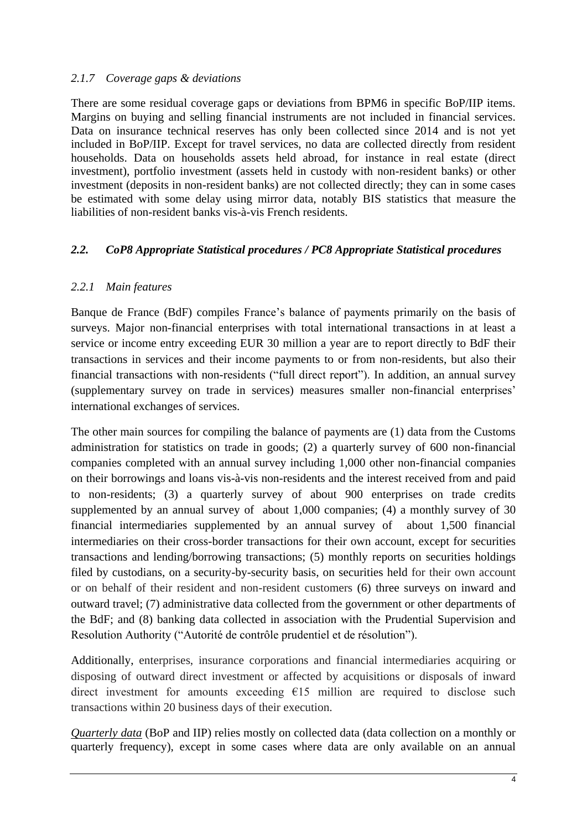#### *2.1.7 Coverage gaps & deviations*

There are some residual coverage gaps or deviations from BPM6 in specific BoP/IIP items. Margins on buying and selling financial instruments are not included in financial services. Data on insurance technical reserves has only been collected since 2014 and is not yet included in BoP/IIP. Except for travel services, no data are collected directly from resident households. Data on households assets held abroad, for instance in real estate (direct investment), portfolio investment (assets held in custody with non-resident banks) or other investment (deposits in non-resident banks) are not collected directly; they can in some cases be estimated with some delay using mirror data, notably BIS statistics that measure the liabilities of non-resident banks vis-à-vis French residents.

#### *2.2. CoP8 Appropriate Statistical procedures / PC8 Appropriate Statistical procedures*

### *2.2.1 Main features*

Banque de France (BdF) compiles France's balance of payments primarily on the basis of surveys. Major non-financial enterprises with total international transactions in at least a service or income entry exceeding EUR 30 million a year are to report directly to BdF their transactions in services and their income payments to or from non-residents, but also their financial transactions with non-residents ("full direct report"). In addition, an annual survey (supplementary survey on trade in services) measures smaller non-financial enterprises' international exchanges of services.

The other main sources for compiling the balance of payments are (1) data from the Customs administration for statistics on trade in goods; (2) a quarterly survey of 600 non-financial companies completed with an annual survey including 1,000 other non-financial companies on their borrowings and loans vis-à-vis non-residents and the interest received from and paid to non-residents; (3) a quarterly survey of about 900 enterprises on trade credits supplemented by an annual survey of about 1,000 companies; (4) a monthly survey of 30 financial intermediaries supplemented by an annual survey of about 1,500 financial intermediaries on their cross-border transactions for their own account, except for securities transactions and lending/borrowing transactions; (5) monthly reports on securities holdings filed by custodians, on a security-by-security basis, on securities held for their own account or on behalf of their resident and non-resident customers (6) three surveys on inward and outward travel; (7) administrative data collected from the government or other departments of the BdF; and (8) banking data collected in association with the Prudential Supervision and Resolution Authority ("Autorité de contrôle prudentiel et de résolution").

Additionally, enterprises, insurance corporations and financial intermediaries acquiring or disposing of outward direct investment or affected by acquisitions or disposals of inward direct investment for amounts exceeding  $E15$  million are required to disclose such transactions within 20 business days of their execution.

*Quarterly data* (BoP and IIP) relies mostly on collected data (data collection on a monthly or quarterly frequency), except in some cases where data are only available on an annual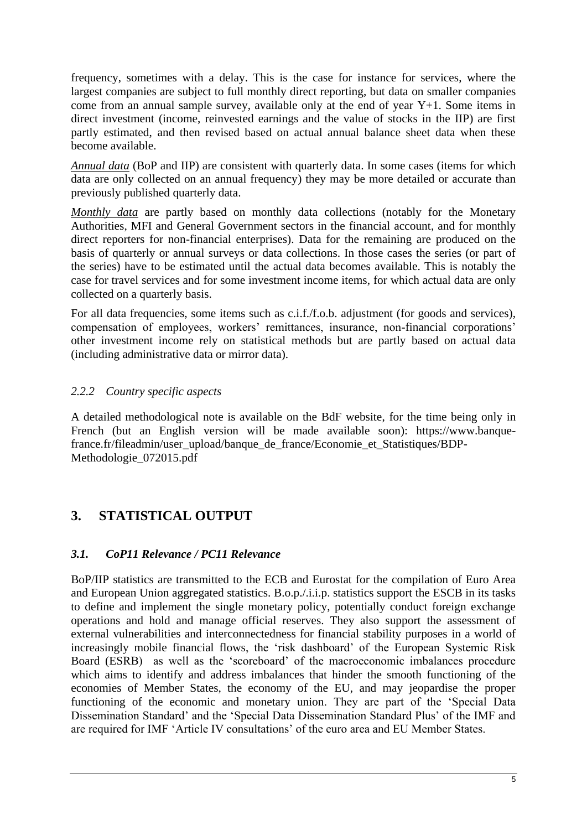frequency, sometimes with a delay. This is the case for instance for services, where the largest companies are subject to full monthly direct reporting, but data on smaller companies come from an annual sample survey, available only at the end of year Y+1. Some items in direct investment (income, reinvested earnings and the value of stocks in the IIP) are first partly estimated, and then revised based on actual annual balance sheet data when these become available.

*Annual data* (BoP and IIP) are consistent with quarterly data. In some cases (items for which data are only collected on an annual frequency) they may be more detailed or accurate than previously published quarterly data.

*Monthly data* are partly based on monthly data collections (notably for the Monetary Authorities, MFI and General Government sectors in the financial account, and for monthly direct reporters for non-financial enterprises). Data for the remaining are produced on the basis of quarterly or annual surveys or data collections. In those cases the series (or part of the series) have to be estimated until the actual data becomes available. This is notably the case for travel services and for some investment income items, for which actual data are only collected on a quarterly basis.

For all data frequencies, some items such as c.i.f./f.o.b. adjustment (for goods and services), compensation of employees, workers' remittances, insurance, non-financial corporations' other investment income rely on statistical methods but are partly based on actual data (including administrative data or mirror data).

### *2.2.2 Country specific aspects*

A detailed methodological note is available on the BdF website, for the time being only in French (but an English version will be made available soon): https://www.banquefrance.fr/fileadmin/user\_upload/banque\_de\_france/Economie\_et\_Statistiques/BDP-Methodologie\_072015.pdf

## **3. STATISTICAL OUTPUT**

#### *3.1. CoP11 Relevance / PC11 Relevance*

BoP/IIP statistics are transmitted to the ECB and Eurostat for the compilation of Euro Area and European Union aggregated statistics. B.o.p./.i.i.p. statistics support the ESCB in its tasks to define and implement the single monetary policy, potentially conduct foreign exchange operations and hold and manage official reserves. They also support the assessment of external vulnerabilities and interconnectedness for financial stability purposes in a world of increasingly mobile financial flows, the 'risk dashboard' of the European Systemic Risk Board (ESRB) as well as the 'scoreboard' of the macroeconomic imbalances procedure which aims to identify and address imbalances that hinder the smooth functioning of the economies of Member States, the economy of the EU, and may jeopardise the proper functioning of the economic and monetary union. They are part of the 'Special Data Dissemination Standard' and the 'Special Data Dissemination Standard Plus' of the IMF and are required for IMF 'Article IV consultations' of the euro area and EU Member States.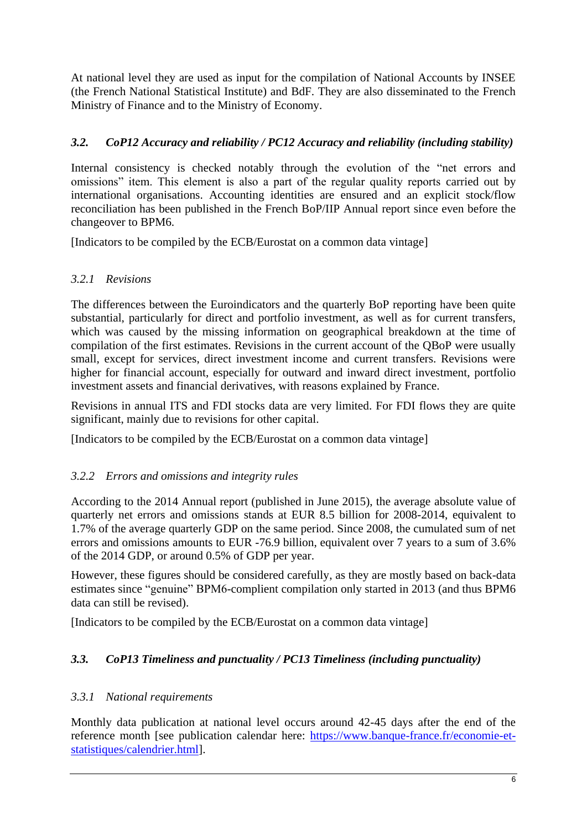At national level they are used as input for the compilation of National Accounts by INSEE (the French National Statistical Institute) and BdF. They are also disseminated to the French Ministry of Finance and to the Ministry of Economy.

### *3.2. CoP12 Accuracy and reliability / PC12 Accuracy and reliability (including stability)*

Internal consistency is checked notably through the evolution of the "net errors and omissions" item. This element is also a part of the regular quality reports carried out by international organisations. Accounting identities are ensured and an explicit stock/flow reconciliation has been published in the French BoP/IIP Annual report since even before the changeover to BPM6.

[Indicators to be compiled by the ECB/Eurostat on a common data vintage]

### *3.2.1 Revisions*

The differences between the Euroindicators and the quarterly BoP reporting have been quite substantial, particularly for direct and portfolio investment, as well as for current transfers, which was caused by the missing information on geographical breakdown at the time of compilation of the first estimates. Revisions in the current account of the QBoP were usually small, except for services, direct investment income and current transfers. Revisions were higher for financial account, especially for outward and inward direct investment, portfolio investment assets and financial derivatives, with reasons explained by France.

Revisions in annual ITS and FDI stocks data are very limited. For FDI flows they are quite significant, mainly due to revisions for other capital.

[Indicators to be compiled by the ECB/Eurostat on a common data vintage]

### *3.2.2 Errors and omissions and integrity rules*

According to the 2014 Annual report (published in June 2015), the average absolute value of quarterly net errors and omissions stands at EUR 8.5 billion for 2008-2014, equivalent to 1.7% of the average quarterly GDP on the same period. Since 2008, the cumulated sum of net errors and omissions amounts to EUR -76.9 billion, equivalent over 7 years to a sum of 3.6% of the 2014 GDP, or around 0.5% of GDP per year.

However, these figures should be considered carefully, as they are mostly based on back-data estimates since "genuine" BPM6-complient compilation only started in 2013 (and thus BPM6 data can still be revised).

[Indicators to be compiled by the ECB/Eurostat on a common data vintage]

## *3.3. CoP13 Timeliness and punctuality / PC13 Timeliness (including punctuality)*

### *3.3.1 National requirements*

Monthly data publication at national level occurs around 42-45 days after the end of the reference month [see publication calendar here: [https://www.banque-france.fr/economie-et](https://www.banque-france.fr/economie-et-statistiques/calendrier.html)[statistiques/calendrier.html\]](https://www.banque-france.fr/economie-et-statistiques/calendrier.html).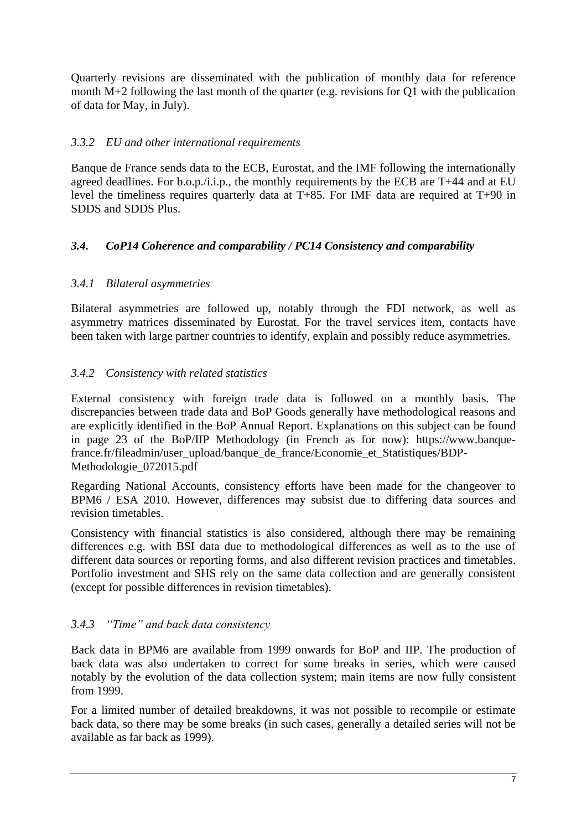Quarterly revisions are disseminated with the publication of monthly data for reference month M+2 following the last month of the quarter (e.g. revisions for Q1 with the publication of data for May, in July).

#### *3.3.2 EU and other international requirements*

Banque de France sends data to the ECB, Eurostat, and the IMF following the internationally agreed deadlines. For b.o.p./i.i.p., the monthly requirements by the ECB are  $T+44$  and at EU level the timeliness requires quarterly data at T+85. For IMF data are required at T+90 in SDDS and SDDS Plus.

#### *3.4. CoP14 Coherence and comparability / PC14 Consistency and comparability*

#### *3.4.1 Bilateral asymmetries*

Bilateral asymmetries are followed up, notably through the FDI network, as well as asymmetry matrices disseminated by Eurostat. For the travel services item, contacts have been taken with large partner countries to identify, explain and possibly reduce asymmetries.

### *3.4.2 Consistency with related statistics*

External consistency with foreign trade data is followed on a monthly basis. The discrepancies between trade data and BoP Goods generally have methodological reasons and are explicitly identified in the BoP Annual Report. Explanations on this subject can be found in page 23 of the BoP/IIP Methodology (in French as for now): https://www.banquefrance.fr/fileadmin/user\_upload/banque\_de\_france/Economie\_et\_Statistiques/BDP-Methodologie\_072015.pdf

Regarding National Accounts, consistency efforts have been made for the changeover to BPM6 / ESA 2010. However, differences may subsist due to differing data sources and revision timetables.

Consistency with financial statistics is also considered, although there may be remaining differences e.g. with BSI data due to methodological differences as well as to the use of different data sources or reporting forms, and also different revision practices and timetables. Portfolio investment and SHS rely on the same data collection and are generally consistent (except for possible differences in revision timetables).

#### *3.4.3 "Time" and back data consistency*

Back data in BPM6 are available from 1999 onwards for BoP and IIP. The production of back data was also undertaken to correct for some breaks in series, which were caused notably by the evolution of the data collection system; main items are now fully consistent from 1999.

For a limited number of detailed breakdowns, it was not possible to recompile or estimate back data, so there may be some breaks (in such cases, generally a detailed series will not be available as far back as 1999).